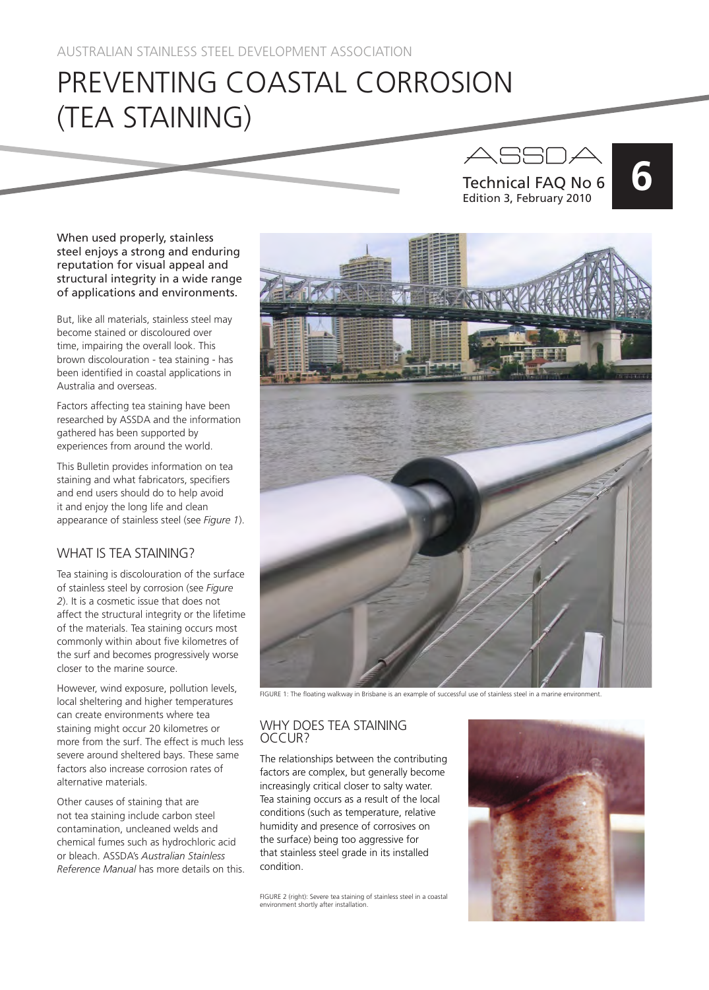# PREVENTING COASTAL CORROSION (TEA STAINING)



When used properly, stainless steel enjoys a strong and enduring reputation for visual appeal and structural integrity in a wide range of applications and environments.

But, like all materials, stainless steel may become stained or discoloured over time, impairing the overall look. This brown discolouration - tea staining - has been identified in coastal applications in Australia and overseas.

Factors affecting tea staining have been researched by ASSDA and the information gathered has been supported by experiences from around the world.

This Bulletin provides information on tea staining and what fabricators, specifiers and end users should do to help avoid it and enjoy the long life and clean appearance of stainless steel (see *Figure 1*).

# WHAT IS TEA STAINING?

Tea staining is discolouration of the surface of stainless steel by corrosion (see *Figure 2*). It is a cosmetic issue that does not affect the structural integrity or the lifetime of the materials. Tea staining occurs most commonly within about five kilometres of the surf and becomes progressively worse closer to the marine source.

However, wind exposure, pollution levels, local sheltering and higher temperatures can create environments where tea staining might occur 20 kilometres or more from the surf. The effect is much less severe around sheltered bays. These same factors also increase corrosion rates of alternative materials.

Other causes of staining that are not tea staining include carbon steel contamination, uncleaned welds and chemical fumes such as hydrochloric acid or bleach. ASSDA's *Australian Stainless Reference Manual* has more details on this.



FIGURE 1: The floating walkway in Brisbane is an example of successful use of stainless steel in a marine environment.

# WHY DOES TEA STAINING OCCUR?

The relationships between the contributing factors are complex, but generally become increasingly critical closer to salty water. Tea staining occurs as a result of the local conditions (such as temperature, relative humidity and presence of corrosives on the surface) being too aggressive for that stainless steel grade in its installed condition.

FIGURE 2 (right): Severe tea staining of stainless steel in a coastal environment shortly after installation.

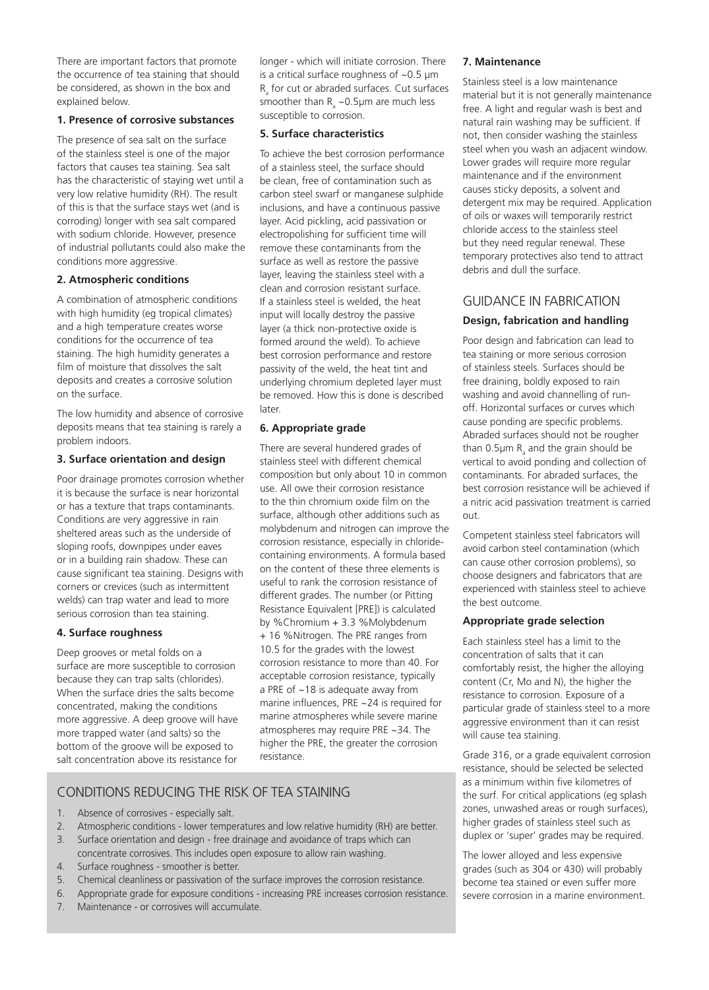There are important factors that promote the occurrence of tea staining that should be considered, as shown in the box and explained below.

#### **1. Presence of corrosive substances**

The presence of sea salt on the surface of the stainless steel is one of the major factors that causes tea staining. Sea salt has the characteristic of staying wet until a very low relative humidity (RH). The result of this is that the surface stays wet (and is corroding) longer with sea salt compared with sodium chloride. However, presence of industrial pollutants could also make the conditions more aggressive.

#### **2. Atmospheric conditions**

A combination of atmospheric conditions with high humidity (eg tropical climates) and a high temperature creates worse conditions for the occurrence of tea staining. The high humidity generates a film of moisture that dissolves the salt deposits and creates a corrosive solution on the surface.

The low humidity and absence of corrosive deposits means that tea staining is rarely a problem indoors.

#### **3. Surface orientation and design**

Poor drainage promotes corrosion whether it is because the surface is near horizontal or has a texture that traps contaminants. Conditions are very aggressive in rain sheltered areas such as the underside of sloping roofs, downpipes under eaves or in a building rain shadow. These can cause significant tea staining. Designs with corners or crevices (such as intermittent welds) can trap water and lead to more serious corrosion than tea staining.

# **4. Surface roughness**

Deep grooves or metal folds on a surface are more susceptible to corrosion because they can trap salts (chlorides). When the surface dries the salts become concentrated, making the conditions more aggressive. A deep groove will have more trapped water (and salts) so the bottom of the groove will be exposed to salt concentration above its resistance for longer - which will initiate corrosion. There is a critical surface roughness of ~0.5 μm  $R$ <sub>a</sub> for cut or abraded surfaces. Cut surfaces smoother than  $R_{a}$  ~0.5µm are much less susceptible to corrosion.

#### **5. Surface characteristics**

To achieve the best corrosion performance of a stainless steel, the surface should be clean, free of contamination such as carbon steel swarf or manganese sulphide inclusions, and have a continuous passive layer. Acid pickling, acid passivation or electropolishing for sufficient time will remove these contaminants from the surface as well as restore the passive layer, leaving the stainless steel with a clean and corrosion resistant surface. If a stainless steel is welded, the heat input will locally destroy the passive layer (a thick non-protective oxide is formed around the weld). To achieve best corrosion performance and restore passivity of the weld, the heat tint and underlying chromium depleted layer must be removed. How this is done is described later.

# **6. Appropriate grade**

There are several hundered grades of stainless steel with different chemical composition but only about 10 in common use. All owe their corrosion resistance to the thin chromium oxide film on the surface, although other additions such as molybdenum and nitrogen can improve the corrosion resistance, especially in chloridecontaining environments. A formula based on the content of these three elements is useful to rank the corrosion resistance of different grades. The number (or Pitting Resistance Equivalent [PRE]) is calculated by %Chromium + 3.3 %Molybdenum + 16 %Nitrogen. The PRE ranges from 10.5 for the grades with the lowest corrosion resistance to more than 40. For acceptable corrosion resistance, typically a PRE of ~18 is adequate away from marine influences, PRE ~24 is required for marine atmospheres while severe marine atmospheres may require PRE ~34. The higher the PRE, the greater the corrosion resistance.

# CONDITIONS REDUCING THE RISK OF TEA STAINING

- 1. Absence of corrosives especially salt.
- 2. Atmospheric conditions lower temperatures and low relative humidity (RH) are better.
- 3. Surface orientation and design free drainage and avoidance of traps which can concentrate corrosives. This includes open exposure to allow rain washing.
- 4. Surface roughness smoother is better.
- 5. Chemical cleanliness or passivation of the surface improves the corrosion resistance.
- 6. Appropriate grade for exposure conditions increasing PRE increases corrosion resistance.
- 7. Maintenance or corrosives will accumulate.

#### **7. Maintenance**

Stainless steel is a low maintenance material but it is not generally maintenance free. A light and regular wash is best and natural rain washing may be sufficient. If not, then consider washing the stainless steel when you wash an adjacent window. Lower grades will require more regular maintenance and if the environment causes sticky deposits, a solvent and detergent mix may be required. Application of oils or waxes will temporarily restrict chloride access to the stainless steel but they need regular renewal. These temporary protectives also tend to attract debris and dull the surface.

# GUIDANCE IN FABRICATION

# **Design, fabrication and handling**

Poor design and fabrication can lead to tea staining or more serious corrosion of stainless steels. Surfaces should be free draining, boldly exposed to rain washing and avoid channelling of runoff. Horizontal surfaces or curves which cause ponding are specific problems. Abraded surfaces should not be rougher than 0.5 $\mu$ m R<sub>a</sub> and the grain should be vertical to avoid ponding and collection of contaminants. For abraded surfaces, the best corrosion resistance will be achieved if a nitric acid passivation treatment is carried out.

Competent stainless steel fabricators will avoid carbon steel contamination (which can cause other corrosion problems), so choose designers and fabricators that are experienced with stainless steel to achieve the best outcome.

# **Appropriate grade selection**

Each stainless steel has a limit to the concentration of salts that it can comfortably resist, the higher the alloying content (Cr, Mo and N), the higher the resistance to corrosion. Exposure of a particular grade of stainless steel to a more aggressive environment than it can resist will cause tea staining.

Grade 316, or a grade equivalent corrosion resistance, should be selected be selected as a minimum within five kilometres of the surf. For critical applications (eg splash zones, unwashed areas or rough surfaces), higher grades of stainless steel such as duplex or 'super' grades may be required.

The lower alloyed and less expensive grades (such as 304 or 430) will probably become tea stained or even suffer more severe corrosion in a marine environment.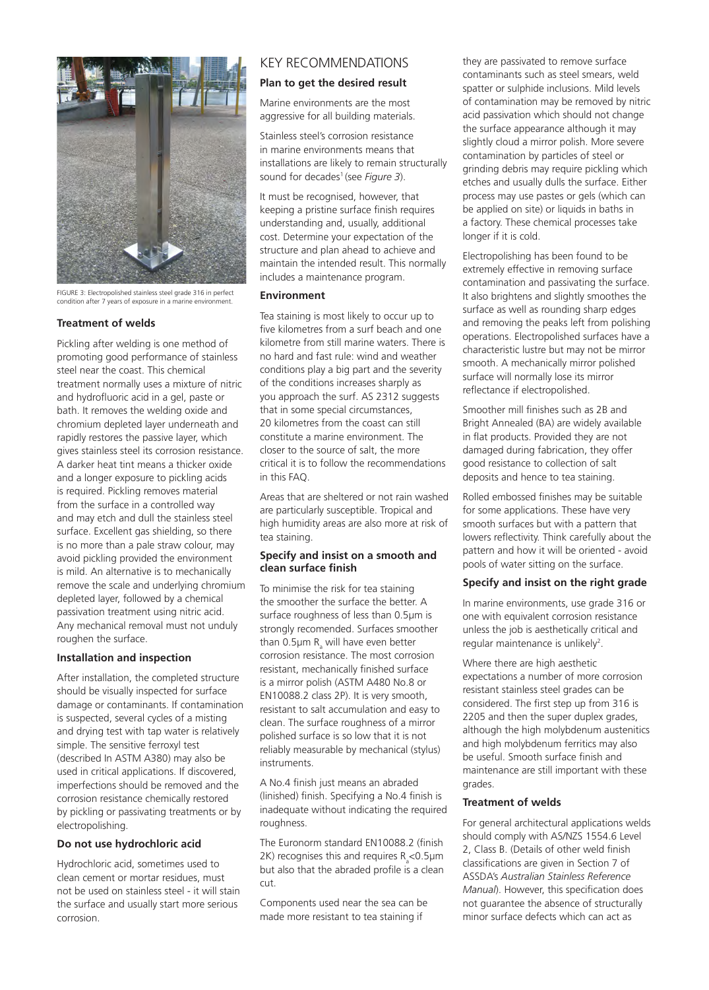

FIGURE 3: Electropolished stainless steel grade 316 in perfect condition after 7 years of exposure in a marine env

#### **Treatment of welds**

Pickling after welding is one method of promoting good performance of stainless steel near the coast. This chemical treatment normally uses a mixture of nitric and hydrofluoric acid in a gel, paste or bath. It removes the welding oxide and chromium depleted layer underneath and rapidly restores the passive layer, which gives stainless steel its corrosion resistance. A darker heat tint means a thicker oxide and a longer exposure to pickling acids is required. Pickling removes material from the surface in a controlled way and may etch and dull the stainless steel surface. Excellent gas shielding, so there is no more than a pale straw colour, may avoid pickling provided the environment is mild. An alternative is to mechanically remove the scale and underlying chromium depleted layer, followed by a chemical passivation treatment using nitric acid. Any mechanical removal must not unduly roughen the surface.

# **Installation and inspection**

After installation, the completed structure should be visually inspected for surface damage or contaminants. If contamination is suspected, several cycles of a misting and drying test with tap water is relatively simple. The sensitive ferroxyl test (described In ASTM A380) may also be used in critical applications. If discovered, imperfections should be removed and the corrosion resistance chemically restored by pickling or passivating treatments or by electropolishing.

# **Do not use hydrochloric acid**

Hydrochloric acid, sometimes used to clean cement or mortar residues, must not be used on stainless steel - it will stain the surface and usually start more serious corrosion.

# KEY RECOMMENDATIONS

## **Plan to get the desired result**

Marine environments are the most aggressive for all building materials.

Stainless steel's corrosion resistance in marine environments means that installations are likely to remain structurally sound for decades<sup>1</sup> (see *Figure 3*).

It must be recognised, however, that keeping a pristine surface finish requires understanding and, usually, additional cost. Determine your expectation of the structure and plan ahead to achieve and maintain the intended result. This normally includes a maintenance program.

#### **Environment**

Tea staining is most likely to occur up to five kilometres from a surf beach and one kilometre from still marine waters. There is no hard and fast rule: wind and weather conditions play a big part and the severity of the conditions increases sharply as you approach the surf. AS 2312 suggests that in some special circumstances, 20 kilometres from the coast can still constitute a marine environment. The closer to the source of salt, the more critical it is to follow the recommendations in this FAQ.

Areas that are sheltered or not rain washed are particularly susceptible. Tropical and high humidity areas are also more at risk of tea staining.

## **Specify and insist on a smooth and clean surface finish**

To minimise the risk for tea staining the smoother the surface the better. A surface roughness of less than 0.5µm is strongly recomended. Surfaces smoother than 0.5 $\mu$ m R<sub>a</sub> will have even better corrosion resistance. The most corrosion resistant, mechanically finished surface is a mirror polish (ASTM A480 No.8 or EN10088.2 class 2P). It is very smooth, resistant to salt accumulation and easy to clean. The surface roughness of a mirror polished surface is so low that it is not reliably measurable by mechanical (stylus) instruments.

A No.4 finish just means an abraded (linished) finish. Specifying a No.4 finish is inadequate without indicating the required roughness.

The Euronorm standard EN10088.2 (finish 2K) recognises this and requires  $R_a<$ 0.5 $\mu$ m but also that the abraded profile is a clean cut.

Components used near the sea can be made more resistant to tea staining if

they are passivated to remove surface contaminants such as steel smears, weld spatter or sulphide inclusions. Mild levels of contamination may be removed by nitric acid passivation which should not change the surface appearance although it may slightly cloud a mirror polish. More severe contamination by particles of steel or grinding debris may require pickling which etches and usually dulls the surface. Either process may use pastes or gels (which can be applied on site) or liquids in baths in a factory. These chemical processes take longer if it is cold.

Electropolishing has been found to be extremely effective in removing surface contamination and passivating the surface. It also brightens and slightly smoothes the surface as well as rounding sharp edges and removing the peaks left from polishing operations. Electropolished surfaces have a characteristic lustre but may not be mirror smooth. A mechanically mirror polished surface will normally lose its mirror reflectance if electropolished.

Smoother mill finishes such as 2B and Bright Annealed (BA) are widely available in flat products. Provided they are not damaged during fabrication, they offer good resistance to collection of salt deposits and hence to tea staining.

Rolled embossed finishes may be suitable for some applications. These have very smooth surfaces but with a pattern that lowers reflectivity. Think carefully about the pattern and how it will be oriented - avoid pools of water sitting on the surface.

#### **Specify and insist on the right grade**

In marine environments, use grade 316 or one with equivalent corrosion resistance unless the job is aesthetically critical and regular maintenance is unlikely<sup>2</sup>.

Where there are high aesthetic expectations a number of more corrosion resistant stainless steel grades can be considered. The first step up from 316 is 2205 and then the super duplex grades, although the high molybdenum austenitics and high molybdenum ferritics may also be useful. Smooth surface finish and maintenance are still important with these grades.

#### **Treatment of welds**

For general architectural applications welds should comply with AS/NZS 1554.6 Level 2, Class B. (Details of other weld finish classifications are given in Section 7 of ASSDA's *Australian Stainless Reference Manual*). However, this specification does not guarantee the absence of structurally minor surface defects which can act as